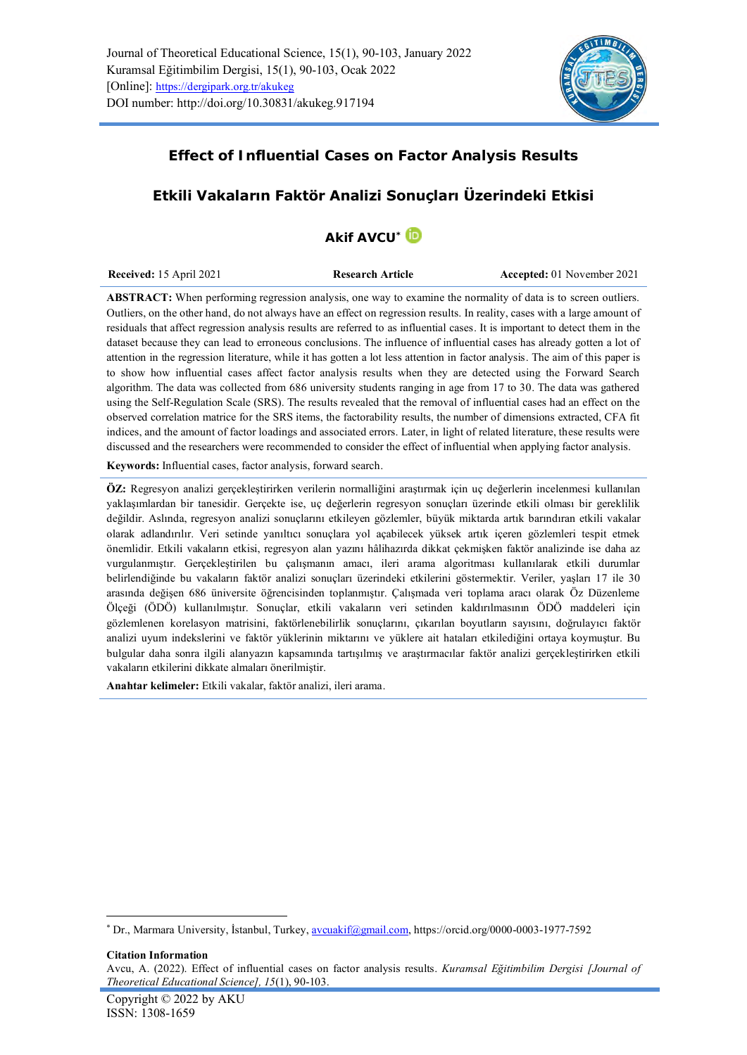

## **Effect of Influential Cases on Factor Analysis Results**

# **Etkili Vakaların Faktör Analizi Sonuçları Üzerindeki Etkisi**

# **Akif AVCU\***

| <b>Received:</b> 15 April 2021 | <b>Research Article</b> | Accepted: 01 November 2021 |
|--------------------------------|-------------------------|----------------------------|
|                                |                         |                            |

**ABSTRACT:** When performing regression analysis, one way to examine the normality of data is to screen outliers. Outliers, on the other hand, do not always have an effect on regression results. In reality, cases with a large amount of residuals that affect regression analysis results are referred to as influential cases. It is important to detect them in the dataset because they can lead to erroneous conclusions. The influence of influential cases has already gotten a lot of attention in the regression literature, while it has gotten a lot less attention in factor analysis. The aim of this paper is to show how influential cases affect factor analysis results when they are detected using the Forward Search algorithm. The data was collected from 686 university students ranging in age from 17 to 30. The data was gathered using the Self-Regulation Scale (SRS). The results revealed that the removal of influential cases had an effect on the observed correlation matrice for the SRS items, the factorability results, the number of dimensions extracted, CFA fit indices, and the amount of factor loadings and associated errors. Later, in light of related literature, these results were discussed and the researchers were recommended to consider the effect of influential when applying factor analysis.

**Keywords:** Influential cases, factor analysis, forward search.

**ÖZ:** Regresyon analizi gerçekleştirirken verilerin normalliğini araştırmak için uç değerlerin incelenmesi kullanılan yaklaşımlardan bir tanesidir. Gerçekte ise, uç değerlerin regresyon sonuçları üzerinde etkili olması bir gereklilik değildir. Aslında, regresyon analizi sonuçlarını etkileyen gözlemler, büyük miktarda artık barındıran etkili vakalar olarak adlandırılır. Veri setinde yanıltıcı sonuçlara yol açabilecek yüksek artık içeren gözlemleri tespit etmek önemlidir. Etkili vakaların etkisi, regresyon alan yazını hâlihazırda dikkat çekmişken faktör analizinde ise daha az vurgulanmıştır. Gerçekleştirilen bu çalışmanın amacı, ileri arama algoritması kullanılarak etkili durumlar belirlendiğinde bu vakaların faktör analizi sonuçları üzerindeki etkilerini göstermektir. Veriler, yaşları 17 ile 30 arasında değişen 686 üniversite öğrencisinden toplanmıştır. Çalışmada veri toplama aracı olarak Öz Düzenleme Ölçeği (ÖDÖ) kullanılmıştır. Sonuçlar, etkili vakaların veri setinden kaldırılmasının ÖDÖ maddeleri için gözlemlenen korelasyon matrisini, faktörlenebilirlik sonuçlarını, çıkarılan boyutların sayısını, doğrulayıcı faktör analizi uyum indekslerini ve faktör yüklerinin miktarını ve yüklere ait hataları etkilediğini ortaya koymuştur. Bu bulgular daha sonra ilgili alanyazın kapsamında tartışılmış ve araştırmacılar faktör analizi gerçekleştirirken etkili vakaların etkilerini dikkate almaları önerilmiştir.

**Anahtar kelimeler:** Etkili vakalar, faktör analizi, ileri arama.

**Citation Information**

<sup>\*</sup> Dr., Marmara University, İstanbul, Turkey[, avcuakif@gmail.com,](mailto:avcuakif@gmail.com) <https://orcid.org/0000-0003-1977-7592>

Avcu, A. (2022). Effect of influential cases on factor analysis results. *Kuramsal Eğitimbilim Dergisi [Journal of Theoretical Educational Science], 15*(1), 90-103.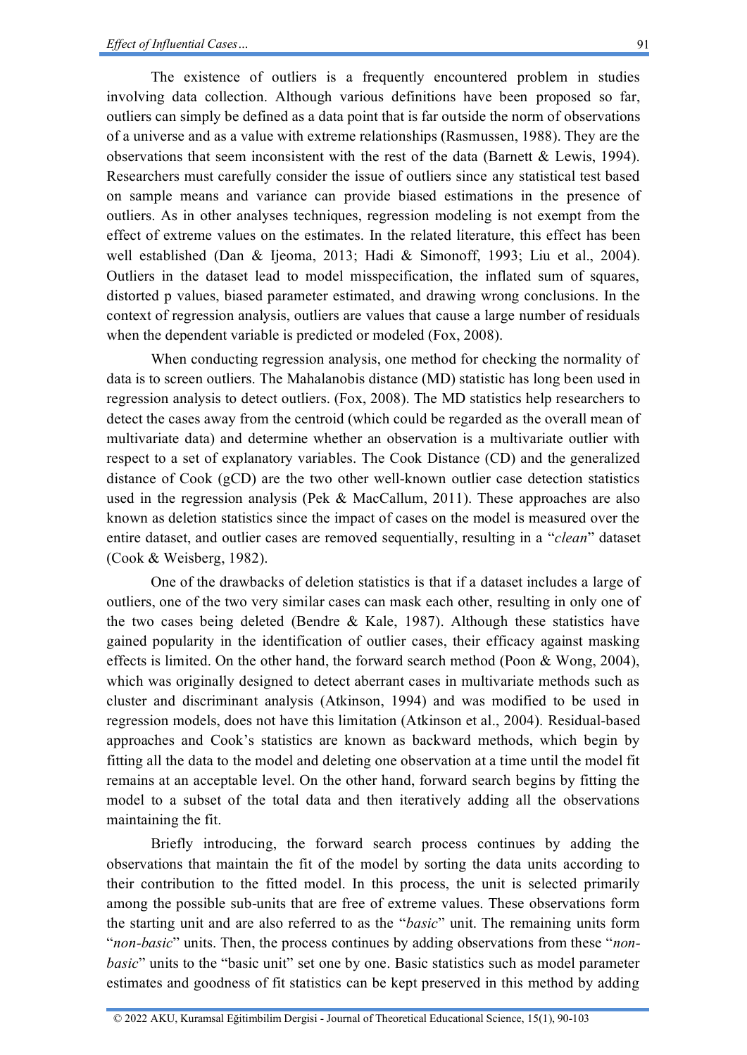91

The existence of outliers is a frequently encountered problem in studies involving data collection. Although various definitions have been proposed so far, outliers can simply be defined as a data point that is far outside the norm of observations of a universe and as a value with extreme relationships (Rasmussen, 1988). They are the observations that seem inconsistent with the rest of the data (Barnett & Lewis, 1994). Researchers must carefully consider the issue of outliers since any statistical test based on sample means and variance can provide biased estimations in the presence of outliers. As in other analyses techniques, regression modeling is not exempt from the effect of extreme values on the estimates. In the related literature, this effect has been well established (Dan & Ijeoma, 2013; Hadi & Simonoff, 1993; Liu et al., 2004). Outliers in the dataset lead to model misspecification, the inflated sum of squares, distorted p values, biased parameter estimated, and drawing wrong conclusions. In the context of regression analysis, outliers are values that cause a large number of residuals when the dependent variable is predicted or modeled (Fox, 2008).

When conducting regression analysis, one method for checking the normality of data is to screen outliers. The Mahalanobis distance (MD) statistic has long been used in regression analysis to detect outliers. (Fox, 2008). The MD statistics help researchers to detect the cases away from the centroid (which could be regarded as the overall mean of multivariate data) and determine whether an observation is a multivariate outlier with respect to a set of explanatory variables. The Cook Distance (CD) and the generalized distance of Cook (gCD) are the two other well-known outlier case detection statistics used in the regression analysis (Pek & MacCallum, 2011). These approaches are also known as deletion statistics since the impact of cases on the model is measured over the entire dataset, and outlier cases are removed sequentially, resulting in a "*clean*" dataset (Cook & Weisberg, 1982).

One of the drawbacks of deletion statistics is that if a dataset includes a large of outliers, one of the two very similar cases can mask each other, resulting in only one of the two cases being deleted (Bendre & Kale, 1987). Although these statistics have gained popularity in the identification of outlier cases, their efficacy against masking effects is limited. On the other hand, the forward search method (Poon & Wong, 2004), which was originally designed to detect aberrant cases in multivariate methods such as cluster and discriminant analysis (Atkinson, 1994) and was modified to be used in regression models, does not have this limitation (Atkinson et al., 2004). Residual-based approaches and Cook's statistics are known as backward methods, which begin by fitting all the data to the model and deleting one observation at a time until the model fit remains at an acceptable level. On the other hand, forward search begins by fitting the model to a subset of the total data and then iteratively adding all the observations maintaining the fit.

Briefly introducing, the forward search process continues by adding the observations that maintain the fit of the model by sorting the data units according to their contribution to the fitted model. In this process, the unit is selected primarily among the possible sub-units that are free of extreme values. These observations form the starting unit and are also referred to as the "*basic*" unit. The remaining units form "*non-basic*" units. Then, the process continues by adding observations from these "*nonbasic*" units to the "basic unit" set one by one. Basic statistics such as model parameter estimates and goodness of fit statistics can be kept preserved in this method by adding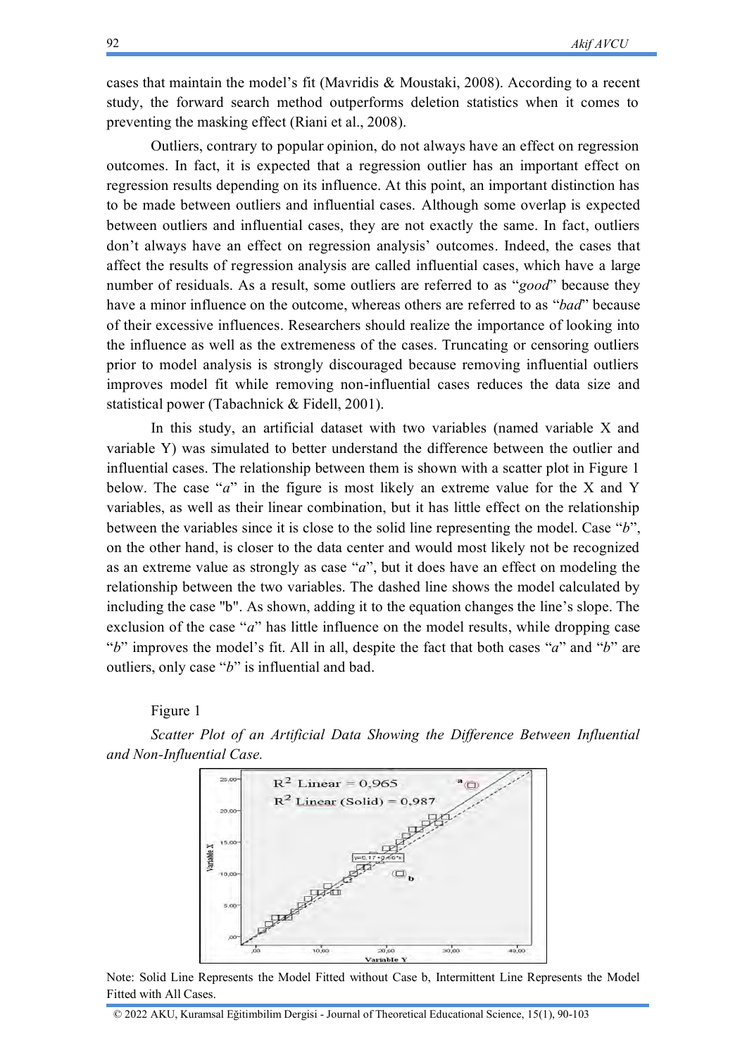cases that maintain the model's fit (Mavridis & Moustaki, 2008). According to a recent study, the forward search method outperforms deletion statistics when it comes to preventing the masking effect (Riani et al., 2008).

Outliers, contrary to popular opinion, do not always have an effect on regression outcomes. In fact, it is expected that a regression outlier has an important effect on regression results depending on its influence. At this point, an important distinction has to be made between outliers and influential cases. Although some overlap is expected between outliers and influential cases, they are not exactly the same. In fact, outliers don't always have an effect on regression analysis' outcomes. Indeed, the cases that affect the results of regression analysis are called influential cases, which have a large number of residuals. As a result, some outliers are referred to as "*good*" because they have a minor influence on the outcome, whereas others are referred to as "*bad*" because of their excessive influences. Researchers should realize the importance of looking into the influence as well as the extremeness of the cases. Truncating or censoring outliers prior to model analysis is strongly discouraged because removing influential outliers improves model fit while removing non-influential cases reduces the data size and statistical power (Tabachnick & Fidell, 2001).

In this study, an artificial dataset with two variables (named variable X and variable Y) was simulated to better understand the difference between the outlier and influential cases. The relationship between them is shown with a scatter plot in Figure 1 below. The case "*a*" in the figure is most likely an extreme value for the X and Y variables, as well as their linear combination, but it has little effect on the relationship between the variables since it is close to the solid line representing the model. Case "*b*", on the other hand, is closer to the data center and would most likely not be recognized as an extreme value as strongly as case "*a*", but it does have an effect on modeling the relationship between the two variables. The dashed line shows the model calculated by including the case "b". As shown, adding it to the equation changes the line's slope. The exclusion of the case "*a*" has little influence on the model results, while dropping case "*b*" improves the model's fit. All in all, despite the fact that both cases "*a*" and "*b*" are outliers, only case "*b*" is influential and bad.

Figure 1

*Scatter Plot of an Artificial Data Showing the Difference Between Influential and Non-Influential Case.* 



Note: Solid Line Represents the Model Fitted without Case b, Intermittent Line Represents the Model Fitted with All Cases.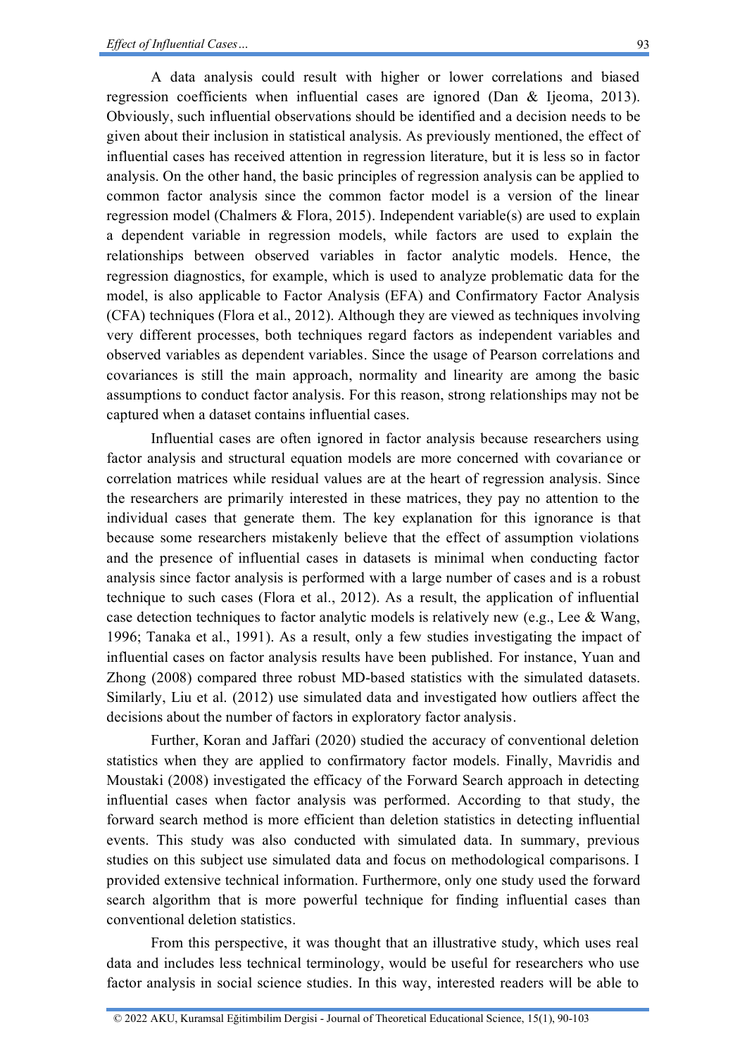A data analysis could result with higher or lower correlations and biased regression coefficients when influential cases are ignored (Dan & Ijeoma, 2013). Obviously, such influential observations should be identified and a decision needs to be given about their inclusion in statistical analysis. As previously mentioned, the effect of influential cases has received attention in regression literature, but it is less so in factor analysis. On the other hand, the basic principles of regression analysis can be applied to common factor analysis since the common factor model is a version of the linear regression model (Chalmers & Flora, 2015). Independent variable(s) are used to explain a dependent variable in regression models, while factors are used to explain the relationships between observed variables in factor analytic models. Hence, the regression diagnostics, for example, which is used to analyze problematic data for the model, is also applicable to Factor Analysis (EFA) and Confirmatory Factor Analysis (CFA) techniques (Flora et al., 2012). Although they are viewed as techniques involving very different processes, both techniques regard factors as independent variables and observed variables as dependent variables. Since the usage of Pearson correlations and covariances is still the main approach, normality and linearity are among the basic assumptions to conduct factor analysis. For this reason, strong relationships may not be captured when a dataset contains influential cases.

Influential cases are often ignored in factor analysis because researchers using factor analysis and structural equation models are more concerned with covariance or correlation matrices while residual values are at the heart of regression analysis. Since the researchers are primarily interested in these matrices, they pay no attention to the individual cases that generate them. The key explanation for this ignorance is that because some researchers mistakenly believe that the effect of assumption violations and the presence of influential cases in datasets is minimal when conducting factor analysis since factor analysis is performed with a large number of cases and is a robust technique to such cases (Flora et al., 2012). As a result, the application of influential case detection techniques to factor analytic models is relatively new (e.g., Lee & Wang, 1996; Tanaka et al., 1991). As a result, only a few studies investigating the impact of influential cases on factor analysis results have been published. For instance, Yuan and Zhong (2008) compared three robust MD-based statistics with the simulated datasets. Similarly, Liu et al. (2012) use simulated data and investigated how outliers affect the decisions about the number of factors in exploratory factor analysis.

Further, Koran and Jaffari (2020) studied the accuracy of conventional deletion statistics when they are applied to confirmatory factor models. Finally, Mavridis and Moustaki (2008) investigated the efficacy of the Forward Search approach in detecting influential cases when factor analysis was performed. According to that study, the forward search method is more efficient than deletion statistics in detecting influential events. This study was also conducted with simulated data. In summary, previous studies on this subject use simulated data and focus on methodological comparisons. I provided extensive technical information. Furthermore, only one study used the forward search algorithm that is more powerful technique for finding influential cases than conventional deletion statistics.

From this perspective, it was thought that an illustrative study, which uses real data and includes less technical terminology, would be useful for researchers who use factor analysis in social science studies. In this way, interested readers will be able to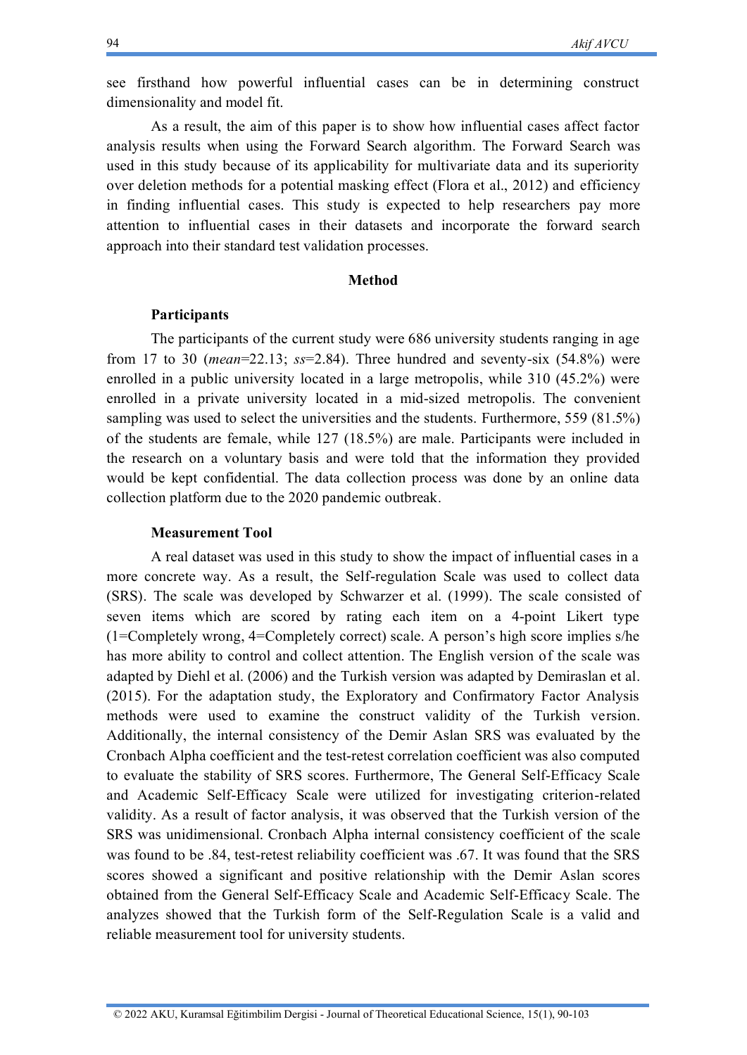see firsthand how powerful influential cases can be in determining construct dimensionality and model fit.

As a result, the aim of this paper is to show how influential cases affect factor analysis results when using the Forward Search algorithm. The Forward Search was used in this study because of its applicability for multivariate data and its superiority over deletion methods for a potential masking effect (Flora et al., 2012) and efficiency in finding influential cases. This study is expected to help researchers pay more attention to influential cases in their datasets and incorporate the forward search approach into their standard test validation processes.

#### **Method**

#### **Participants**

The participants of the current study were 686 university students ranging in age from 17 to 30 (*mean*=22.13; *ss*=2.84). Three hundred and seventy-six (54.8%) were enrolled in a public university located in a large metropolis, while 310 (45.2%) were enrolled in a private university located in a mid-sized metropolis. The convenient sampling was used to select the universities and the students. Furthermore, 559 (81.5%) of the students are female, while 127 (18.5%) are male. Participants were included in the research on a voluntary basis and were told that the information they provided would be kept confidential. The data collection process was done by an online data collection platform due to the 2020 pandemic outbreak.

### **Measurement Tool**

A real dataset was used in this study to show the impact of influential cases in a more concrete way. As a result, the Self-regulation Scale was used to collect data (SRS). The scale was developed by Schwarzer et al. (1999). The scale consisted of seven items which are scored by rating each item on a 4-point Likert type (1=Completely wrong, 4=Completely correct) scale. A person's high score implies s/he has more ability to control and collect attention. The English version of the scale was adapted by Diehl et al. (2006) and the Turkish version was adapted by Demiraslan et al. (2015). For the adaptation study, the Exploratory and Confirmatory Factor Analysis methods were used to examine the construct validity of the Turkish version. Additionally, the internal consistency of the Demir Aslan SRS was evaluated by the Cronbach Alpha coefficient and the test-retest correlation coefficient was also computed to evaluate the stability of SRS scores. Furthermore, The General Self-Efficacy Scale and Academic Self-Efficacy Scale were utilized for investigating criterion-related validity. As a result of factor analysis, it was observed that the Turkish version of the SRS was unidimensional. Cronbach Alpha internal consistency coefficient of the scale was found to be .84, test-retest reliability coefficient was .67. It was found that the SRS scores showed a significant and positive relationship with the Demir Aslan scores obtained from the General Self-Efficacy Scale and Academic Self-Efficacy Scale. The analyzes showed that the Turkish form of the Self-Regulation Scale is a valid and reliable measurement tool for university students.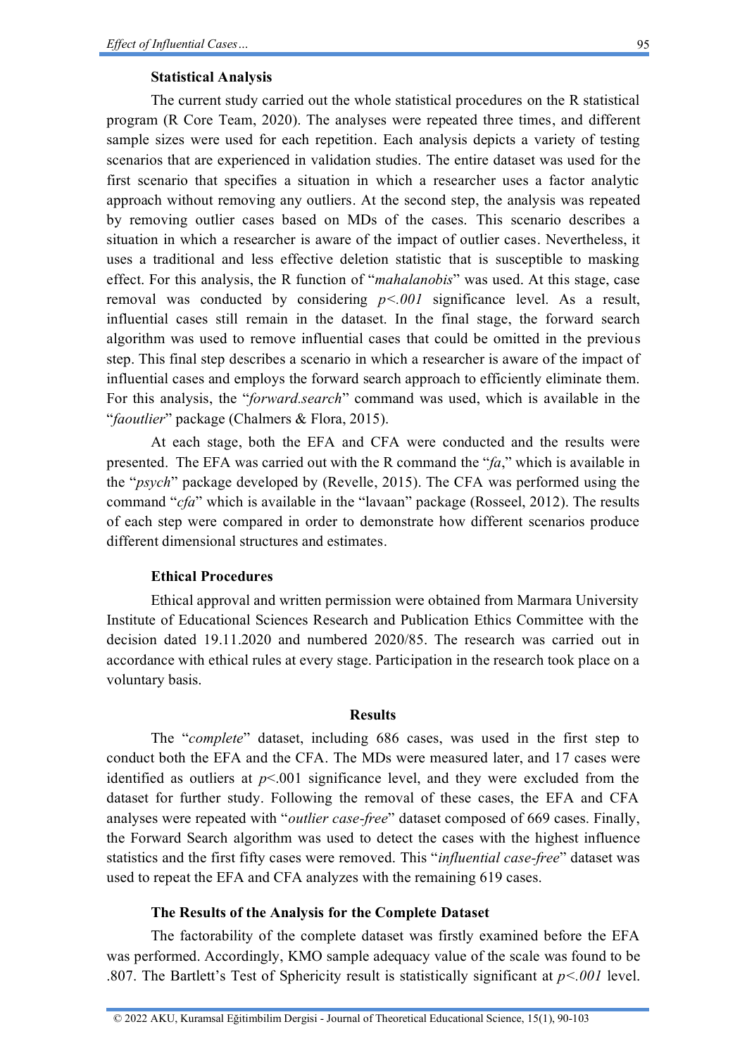### **Statistical Analysis**

The current study carried out the whole statistical procedures on the R statistical program (R Core Team, 2020). The analyses were repeated three times, and different sample sizes were used for each repetition. Each analysis depicts a variety of testing scenarios that are experienced in validation studies. The entire dataset was used for the first scenario that specifies a situation in which a researcher uses a factor analytic approach without removing any outliers. At the second step, the analysis was repeated by removing outlier cases based on MDs of the cases. This scenario describes a situation in which a researcher is aware of the impact of outlier cases. Nevertheless, it uses a traditional and less effective deletion statistic that is susceptible to masking effect. For this analysis, the R function of "*mahalanobis*" was used. At this stage, case removal was conducted by considering *p<.001* significance level. As a result, influential cases still remain in the dataset. In the final stage, the forward search algorithm was used to remove influential cases that could be omitted in the previous step. This final step describes a scenario in which a researcher is aware of the impact of influential cases and employs the forward search approach to efficiently eliminate them. For this analysis, the "*forward.search*" command was used, which is available in the "*faoutlier*" package (Chalmers & Flora, 2015).

At each stage, both the EFA and CFA were conducted and the results were presented. The EFA was carried out with the R command the "*fa*," which is available in the "*psych*" package developed by (Revelle, 2015). The CFA was performed using the command "*cfa*" which is available in the "lavaan" package (Rosseel, 2012). The results of each step were compared in order to demonstrate how different scenarios produce different dimensional structures and estimates.

### **Ethical Procedures**

Ethical approval and written permission were obtained from Marmara University Institute of Educational Sciences Research and Publication Ethics Committee with the decision dated 19.11.2020 and numbered 2020/85. The research was carried out in accordance with ethical rules at every stage. Participation in the research took place on a voluntary basis.

### **Results**

The "*complete*" dataset, including 686 cases, was used in the first step to conduct both the EFA and the CFA. The MDs were measured later, and 17 cases were identified as outliers at  $p<001$  significance level, and they were excluded from the dataset for further study. Following the removal of these cases, the EFA and CFA analyses were repeated with "*outlier case-free*" dataset composed of 669 cases. Finally, the Forward Search algorithm was used to detect the cases with the highest influence statistics and the first fifty cases were removed. This "*influential case-free*" dataset was used to repeat the EFA and CFA analyzes with the remaining 619 cases.

### **The Results of the Analysis for the Complete Dataset**

The factorability of the complete dataset was firstly examined before the EFA was performed. Accordingly, KMO sample adequacy value of the scale was found to be .807. The Bartlett's Test of Sphericity result is statistically significant at *p<.001* level.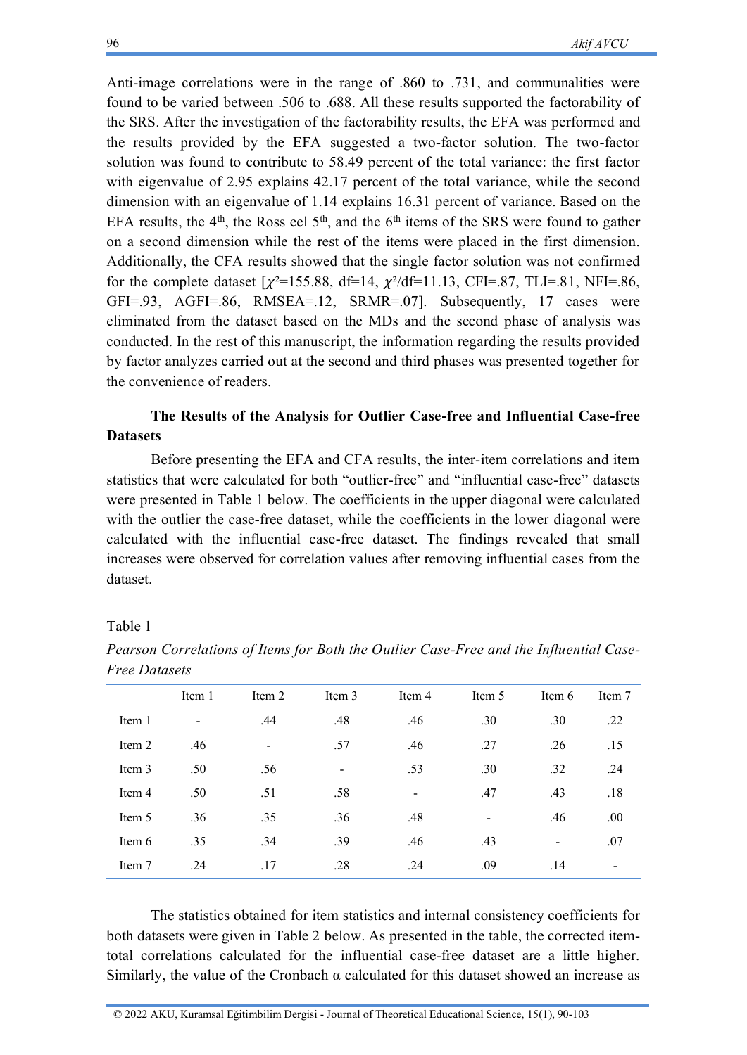Anti-image correlations were in the range of .860 to .731, and communalities were found to be varied between .506 to .688. All these results supported the factorability of the SRS. After the investigation of the factorability results, the EFA was performed and the results provided by the EFA suggested a two-factor solution. The two-factor solution was found to contribute to 58.49 percent of the total variance: the first factor with eigenvalue of 2.95 explains 42.17 percent of the total variance, while the second dimension with an eigenvalue of 1.14 explains 16.31 percent of variance. Based on the EFA results, the  $4<sup>th</sup>$ , the Ross eel  $5<sup>th</sup>$ , and the  $6<sup>th</sup>$  items of the SRS were found to gather on a second dimension while the rest of the items were placed in the first dimension. Additionally, the CFA results showed that the single factor solution was not confirmed for the complete dataset  $[\chi^2=155.88, df=14, \chi^2/df=11.13, CFI=.87, TLI=.81, NFI=.86,$ GFI=.93, AGFI=.86, RMSEA=.12, SRMR=.07]. Subsequently, 17 cases were eliminated from the dataset based on the MDs and the second phase of analysis was conducted. In the rest of this manuscript, the information regarding the results provided by factor analyzes carried out at the second and third phases was presented together for the convenience of readers.

## **The Results of the Analysis for Outlier Case-free and Influential Case-free Datasets**

Before presenting the EFA and CFA results, the inter-item correlations and item statistics that were calculated for both "outlier-free" and "influential case-free" datasets were presented in Table 1 below. The coefficients in the upper diagonal were calculated with the outlier the case-free dataset, while the coefficients in the lower diagonal were calculated with the influential case-free dataset. The findings revealed that small increases were observed for correlation values after removing influential cases from the dataset.

### Table 1

|        | Item 1 | Item 2         | Item 3                   | Item 4                   | Item 5 | Item 6 | Item 7                   |
|--------|--------|----------------|--------------------------|--------------------------|--------|--------|--------------------------|
| Item 1 |        | .44            | .48                      | .46                      | .30    | .30    | .22                      |
| Item 2 | .46    | $\blacksquare$ | .57                      | .46                      | .27    | .26    | .15                      |
| Item 3 | .50    | .56            | $\overline{\phantom{a}}$ | .53                      | .30    | .32    | .24                      |
| Item 4 | .50    | .51            | .58                      | $\overline{\phantom{a}}$ | .47    | .43    | .18                      |
| Item 5 | .36    | .35            | .36                      | .48                      |        | .46    | .00                      |
| Item 6 | .35    | .34            | .39                      | .46                      | .43    | $\,$   | .07                      |
| Item 7 | .24    | .17            | .28                      | .24                      | .09    | .14    | $\overline{\phantom{0}}$ |

*Pearson Correlations of Items for Both the Outlier Case-Free and the Influential Case-Free Datasets*

The statistics obtained for item statistics and internal consistency coefficients for both datasets were given in Table 2 below. As presented in the table, the corrected itemtotal correlations calculated for the influential case-free dataset are a little higher. Similarly, the value of the Cronbach  $\alpha$  calculated for this dataset showed an increase as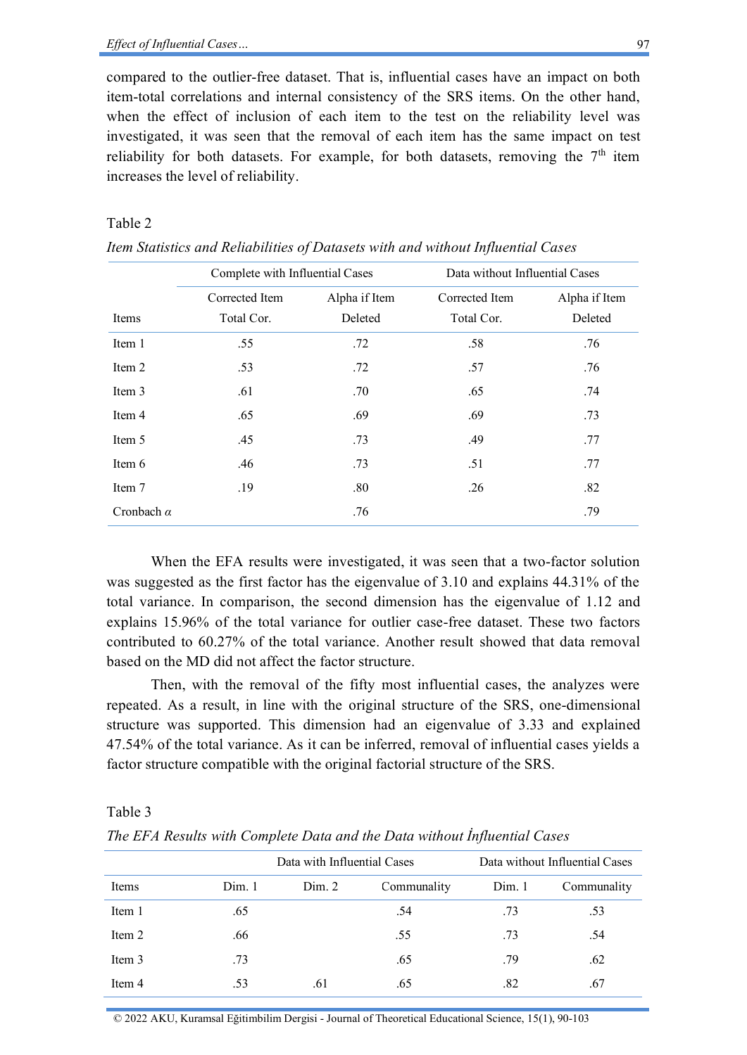compared to the outlier-free dataset. That is, influential cases have an impact on both item-total correlations and internal consistency of the SRS items. On the other hand, when the effect of inclusion of each item to the test on the reliability level was investigated, it was seen that the removal of each item has the same impact on test reliability for both datasets. For example, for both datasets, removing the  $7<sup>th</sup>$  item increases the level of reliability.

### Table 2

|                   | Complete with Influential Cases |                          | Data without Influential Cases |                          |  |
|-------------------|---------------------------------|--------------------------|--------------------------------|--------------------------|--|
| Items             | Corrected Item<br>Total Cor.    | Alpha if Item<br>Deleted | Corrected Item<br>Total Cor.   | Alpha if Item<br>Deleted |  |
|                   |                                 |                          |                                |                          |  |
| Item 1            | .55                             | .72                      | .58                            | .76                      |  |
| Item 2            | .53                             | .72                      | .57                            | .76                      |  |
| Item 3            | .61                             | .70                      | .65                            | .74                      |  |
| Item 4            | .65                             | .69                      | .69                            | .73                      |  |
| Item 5            | .45                             | .73                      | .49                            | .77                      |  |
| Item 6            | .46                             | .73                      | .51                            | .77                      |  |
| Item 7            | .19                             | .80                      | .26                            | .82                      |  |
| Cronbach $\alpha$ |                                 | .76                      |                                | .79                      |  |

*Item Statistics and Reliabilities of Datasets with and without Influential Cases*

When the EFA results were investigated, it was seen that a two-factor solution was suggested as the first factor has the eigenvalue of 3.10 and explains 44.31% of the total variance. In comparison, the second dimension has the eigenvalue of 1.12 and explains 15.96% of the total variance for outlier case-free dataset. These two factors contributed to 60.27% of the total variance. Another result showed that data removal based on the MD did not affect the factor structure.

Then, with the removal of the fifty most influential cases, the analyzes were repeated. As a result, in line with the original structure of the SRS, one-dimensional structure was supported. This dimension had an eigenvalue of 3.33 and explained 47.54% of the total variance. As it can be inferred, removal of influential cases yields a factor structure compatible with the original factorial structure of the SRS.

Table 3

*The EFA Results with Complete Data and the Data without İnfluential Cases*

|        |       | Data with Influential Cases |             |       | Data without Influential Cases |
|--------|-------|-----------------------------|-------------|-------|--------------------------------|
| Items  | Dim.1 | Dim. 2                      | Communality | Dim.1 | Communality                    |
| Item 1 | .65   |                             | .54         | .73   | .53                            |
| Item 2 | .66   |                             | .55         | .73   | .54                            |
| Item 3 | .73   |                             | .65         | .79   | .62                            |
| Item 4 | .53   | .61                         | .65         | .82   | .67                            |

97

© 2022 AKU, Kuramsal Eğitimbilim Dergisi - Journal of Theoretical Educational Science, 15(1), 90-103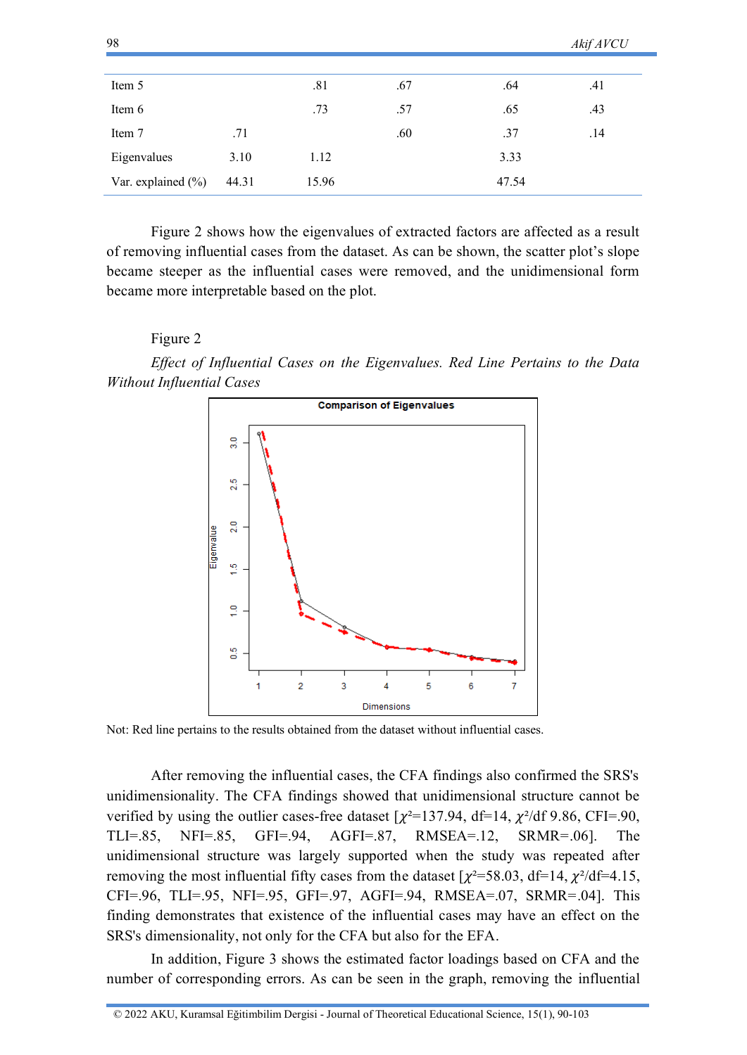| $70^{\circ}$           |       |       |     |       | AKIJ AV CU |
|------------------------|-------|-------|-----|-------|------------|
|                        |       |       |     |       |            |
| Item 5                 |       | .81   | .67 | .64   | .41        |
| Item 6                 |       | .73   | .57 | .65   | .43        |
| Item 7                 | .71   |       | .60 | .37   | .14        |
| Eigenvalues            | 3.10  | 1.12  |     | 3.33  |            |
| Var. explained $(\% )$ | 44.31 | 15.96 |     | 47.54 |            |

 $A \cdot C \cdot A \cdot C \cdot T$ 

Figure 2 shows how the eigenvalues of extracted factors are affected as a result of removing influential cases from the dataset. As can be shown, the scatter plot's slope became steeper as the influential cases were removed, and the unidimensional form became more interpretable based on the plot.

### Figure 2

 $0<sup>9</sup>$ 

*Effect of Influential Cases on the Eigenvalues. Red Line Pertains to the Data Without Influential Cases*



Not: Red line pertains to the results obtained from the dataset without influential cases.

After removing the influential cases, the CFA findings also confirmed the SRS's unidimensionality. The CFA findings showed that unidimensional structure cannot be verified by using the outlier cases-free dataset  $[\chi^2=137.94, df=14, \chi^2/df\,9.86, CFI=.90,$ TLI=.85, NFI=.85, GFI=.94, AGFI=.87, RMSEA=.12, SRMR=.06]. The unidimensional structure was largely supported when the study was repeated after removing the most influential fifty cases from the dataset  $[\chi^2 = 58.03, df = 14, \chi^2/df = 4.15,$ CFI=.96, TLI=.95, NFI=.95, GFI=.97, AGFI=.94, RMSEA=.07, SRMR=.04]. This finding demonstrates that existence of the influential cases may have an effect on the SRS's dimensionality, not only for the CFA but also for the EFA.

In addition, Figure 3 shows the estimated factor loadings based on CFA and the number of corresponding errors. As can be seen in the graph, removing the influential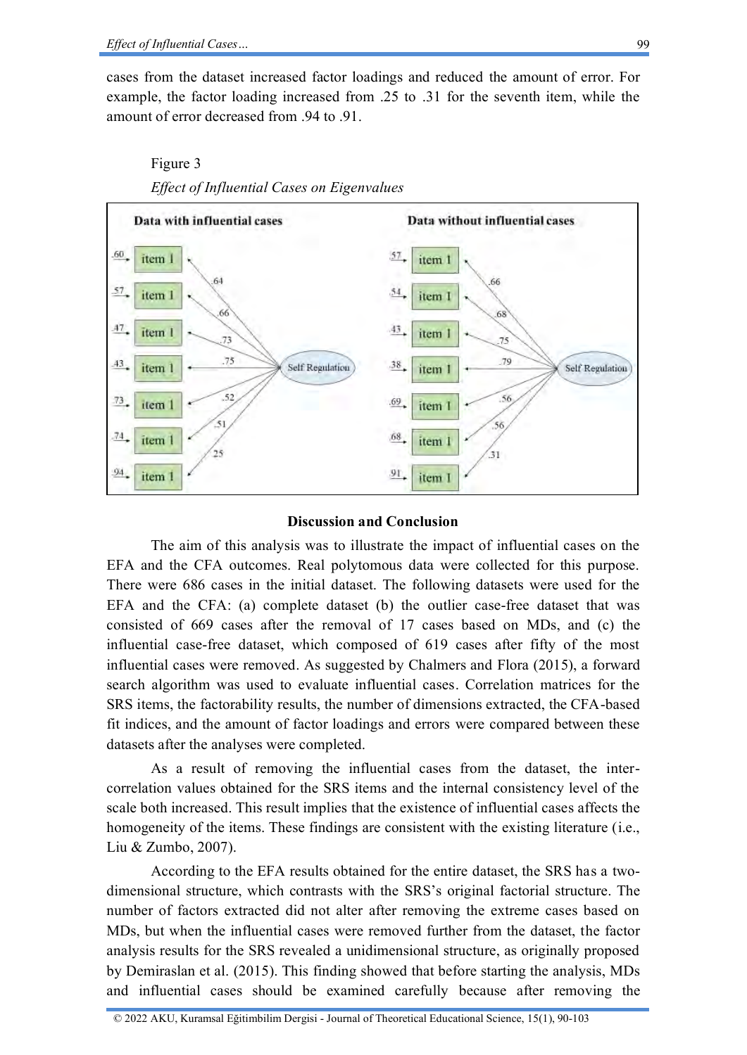cases from the dataset increased factor loadings and reduced the amount of error. For example, the factor loading increased from .25 to .31 for the seventh item, while the amount of error decreased from .94 to .91.



# Figure 3 *Effect of Influential Cases on Eigenvalues*

### **Discussion and Conclusion**

The aim of this analysis was to illustrate the impact of influential cases on the EFA and the CFA outcomes. Real polytomous data were collected for this purpose. There were 686 cases in the initial dataset. The following datasets were used for the EFA and the CFA: (a) complete dataset (b) the outlier case-free dataset that was consisted of 669 cases after the removal of 17 cases based on MDs, and (c) the influential case-free dataset, which composed of 619 cases after fifty of the most influential cases were removed. As suggested by Chalmers and Flora (2015), a forward search algorithm was used to evaluate influential cases. Correlation matrices for the SRS items, the factorability results, the number of dimensions extracted, the CFA-based fit indices, and the amount of factor loadings and errors were compared between these datasets after the analyses were completed.

As a result of removing the influential cases from the dataset, the intercorrelation values obtained for the SRS items and the internal consistency level of the scale both increased. This result implies that the existence of influential cases affects the homogeneity of the items. These findings are consistent with the existing literature (i.e., Liu & Zumbo, 2007).

According to the EFA results obtained for the entire dataset, the SRS has a twodimensional structure, which contrasts with the SRS's original factorial structure. The number of factors extracted did not alter after removing the extreme cases based on MDs, but when the influential cases were removed further from the dataset, the factor analysis results for the SRS revealed a unidimensional structure, as originally proposed by Demiraslan et al. (2015). This finding showed that before starting the analysis, MDs and influential cases should be examined carefully because after removing the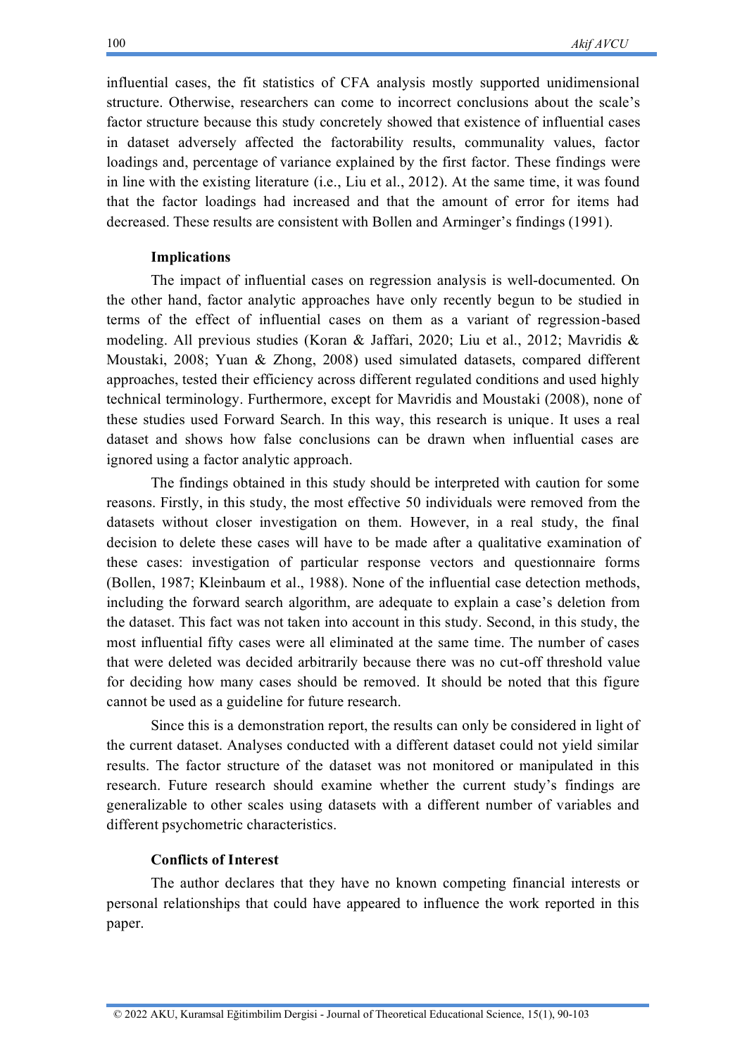influential cases, the fit statistics of CFA analysis mostly supported unidimensional structure. Otherwise, researchers can come to incorrect conclusions about the scale's factor structure because this study concretely showed that existence of influential cases in dataset adversely affected the factorability results, communality values, factor loadings and, percentage of variance explained by the first factor. These findings were in line with the existing literature (i.e., Liu et al., 2012). At the same time, it was found that the factor loadings had increased and that the amount of error for items had decreased. These results are consistent with Bollen and Arminger's findings (1991).

### **Implications**

The impact of influential cases on regression analysis is well-documented. On the other hand, factor analytic approaches have only recently begun to be studied in terms of the effect of influential cases on them as a variant of regression-based modeling. All previous studies (Koran & Jaffari, 2020; Liu et al., 2012; Mavridis & Moustaki, 2008; Yuan & Zhong, 2008) used simulated datasets, compared different approaches, tested their efficiency across different regulated conditions and used highly technical terminology. Furthermore, except for Mavridis and Moustaki (2008), none of these studies used Forward Search. In this way, this research is unique. It uses a real dataset and shows how false conclusions can be drawn when influential cases are ignored using a factor analytic approach.

The findings obtained in this study should be interpreted with caution for some reasons. Firstly, in this study, the most effective 50 individuals were removed from the datasets without closer investigation on them. However, in a real study, the final decision to delete these cases will have to be made after a qualitative examination of these cases: investigation of particular response vectors and questionnaire forms (Bollen, 1987; Kleinbaum et al., 1988). None of the influential case detection methods, including the forward search algorithm, are adequate to explain a case's deletion from the dataset. This fact was not taken into account in this study. Second, in this study, the most influential fifty cases were all eliminated at the same time. The number of cases that were deleted was decided arbitrarily because there was no cut-off threshold value for deciding how many cases should be removed. It should be noted that this figure cannot be used as a guideline for future research.

Since this is a demonstration report, the results can only be considered in light of the current dataset. Analyses conducted with a different dataset could not yield similar results. The factor structure of the dataset was not monitored or manipulated in this research. Future research should examine whether the current study's findings are generalizable to other scales using datasets with a different number of variables and different psychometric characteristics.

### **Conflicts of Interest**

The author declares that they have no known competing financial interests or personal relationships that could have appeared to influence the work reported in this paper.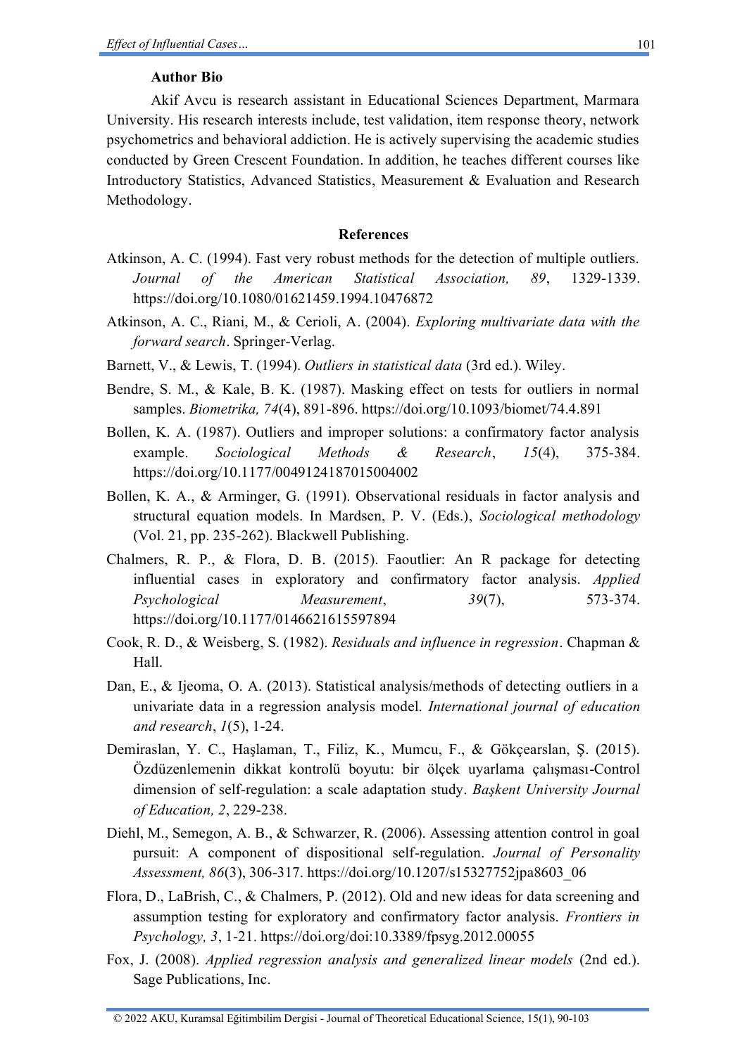### **Author Bio**

Akif Avcu is research assistant in Educational Sciences Department, Marmara University. His research interests include, test validation, item response theory, network psychometrics and behavioral addiction. He is actively supervising the academic studies conducted by Green Crescent Foundation. In addition, he teaches different courses like Introductory Statistics, Advanced Statistics, Measurement & Evaluation and Research Methodology.

### **References**

- Atkinson, A. C. (1994). Fast very robust methods for the detection of multiple outliers. *Journal of the American Statistical Association, 89*, 1329-1339. <https://doi.org/10.1080/01621459.1994.10476872>
- Atkinson, A. C., Riani, M., & Cerioli, A. (2004). *Exploring multivariate data with the forward search*. Springer-Verlag.
- Barnett, V., & Lewis, T. (1994). *Outliers in statistical data* (3rd ed.). Wiley.
- Bendre, S. M., & Kale, B. K. (1987). Masking effect on tests for outliers in normal samples. *Biometrika, 74*(4), 891-896.<https://doi.org/10.1093/biomet/74.4.891>
- Bollen, K. A. (1987). Outliers and improper solutions: a confirmatory factor analysis example. *Sociological Methods & Research*, *15*(4), 375-384. <https://doi.org/10.1177/0049124187015004002>
- Bollen, K. A., & Arminger, G. (1991). Observational residuals in factor analysis and structural equation models. In Mardsen, P. V. (Eds.), *Sociological methodology* (Vol. 21, pp. 235-262). Blackwell Publishing.
- Chalmers, R. P., & Flora, D. B. (2015). Faoutlier: An R package for detecting influential cases in exploratory and confirmatory factor analysis. *Applied Psychological Measurement*, *39*(7), 573-374. <https://doi.org/10.1177/0146621615597894>
- Cook, R. D., & Weisberg, S. (1982). *Residuals and influence in regression*. Chapman & Hall.
- Dan, E., & Ijeoma, O. A. (2013). Statistical analysis/methods of detecting outliers in a univariate data in a regression analysis model. *International journal of education and research*, *1*(5), 1-24.
- Demiraslan, Y. C., Haşlaman, T., Filiz, K., Mumcu, F., & Gökçearslan, Ş. (2015). Özdüzenlemenin dikkat kontrolü boyutu: bir ölçek uyarlama çalışması-Control dimension of self-regulation: a scale adaptation study. *Başkent University Journal of Education, 2*, 229-238.
- Diehl, M., Semegon, A. B., & Schwarzer, R. (2006). Assessing attention control in goal pursuit: A component of dispositional self-regulation. *Journal of Personality Assessment, 86*(3), 306-317. [https://doi.org/10.1207/s15327752jpa8603\\_06](https://doi.org/10.1207/s15327752jpa8603_06)
- Flora, D., LaBrish, C., & Chalmers, P. (2012). Old and new ideas for data screening and assumption testing for exploratory and confirmatory factor analysis. *Frontiers in Psychology, 3*, 1-21[. https://doi.org/doi:10.3389/fpsyg.2012.00055](https://doi.org/10.3389/fpsyg.2012.00055)
- Fox, J. (2008). *Applied regression analysis and generalized linear models* (2nd ed.). Sage Publications, Inc.

<sup>© 2022</sup> AKU, Kuramsal Eğitimbilim Dergisi - Journal of Theoretical Educational Science, 15(1), 90-103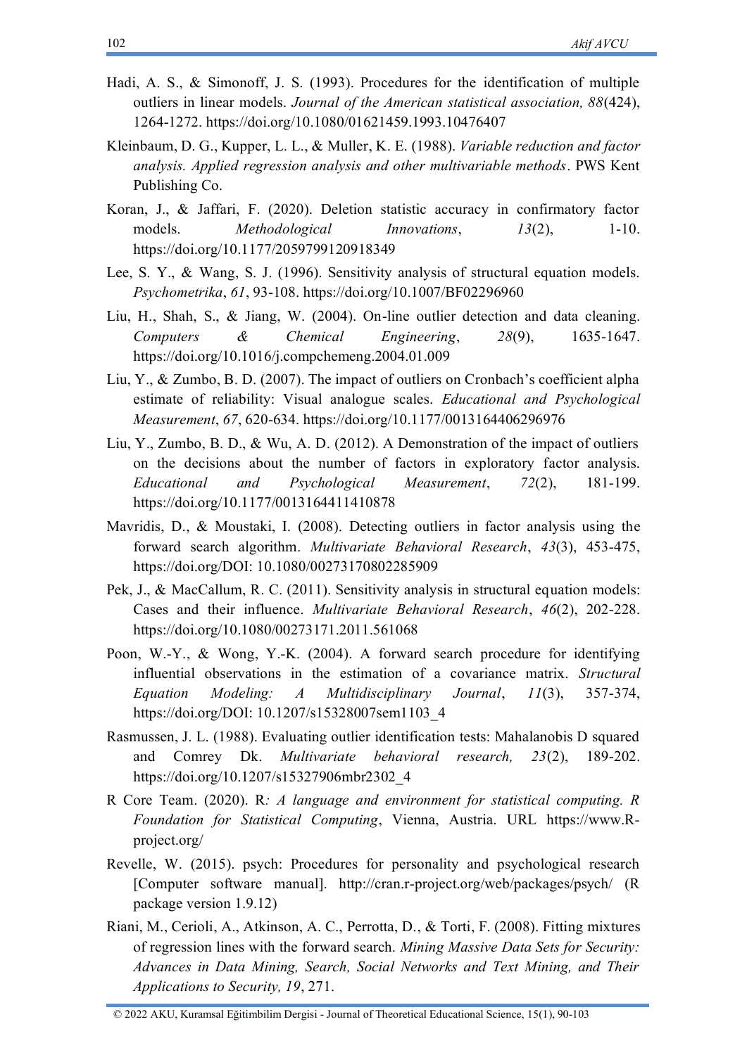- Hadi, A. S., & Simonoff, J. S. (1993). Procedures for the identification of multiple outliers in linear models. *Journal of the American statistical association, 88*(424), 1264-1272.<https://doi.org/10.1080/01621459.1993.10476407>
- Kleinbaum, D. G., Kupper, L. L., & Muller, K. E. (1988). *Variable reduction and factor analysis. Applied regression analysis and other multivariable methods*. PWS Kent Publishing Co.
- Koran, J., & Jaffari, F. (2020). Deletion statistic accuracy in confirmatory factor models. *Methodological Innovations*, *13*(2), 1-10. <https://doi.org/10.1177/2059799120918349>
- Lee, S. Y., & Wang, S. J. (1996). Sensitivity analysis of structural equation models. *Psychometrika*, *61*, 93-108.<https://doi.org/10.1007/BF02296960>
- Liu, H., Shah, S., & Jiang, W. (2004). On-line outlier detection and data cleaning. *Computers & Chemical Engineering*, *28*(9), 1635-1647. <https://doi.org/10.1016/j.compchemeng.2004.01.009>
- Liu, Y., & Zumbo, B. D. (2007). The impact of outliers on Cronbach's coefficient alpha estimate of reliability: Visual analogue scales. *Educational and Psychological Measurement*, *67*, 620-634.<https://doi.org/10.1177/0013164406296976>
- Liu, Y., Zumbo, B. D., & Wu, A. D. (2012). A Demonstration of the impact of outliers on the decisions about the number of factors in exploratory factor analysis. *Educational and Psychological Measurement*, *72*(2), 181-199. <https://doi.org/10.1177/0013164411410878>
- Mavridis, D., & Moustaki, I. (2008). Detecting outliers in factor analysis using the forward search algorithm. *Multivariate Behavioral Research*, *43*(3), 453-475, [https://doi.org/DOI: 10.1080/00273170802285909](https://doi.org/10.1080/00273170802285909)
- Pek, J., & MacCallum, R. C. (2011). Sensitivity analysis in structural equation models: Cases and their influence. *Multivariate Behavioral Research*, *46*(2), 202-228. <https://doi.org/10.1080/00273171.2011.561068>
- Poon, W.-Y., & Wong, Y.-K. (2004). A forward search procedure for identifying influential observations in the estimation of a covariance matrix. *Structural Equation Modeling: A Multidisciplinary Journal*, *11*(3), 357-374, [https://doi.org/DOI: 10.1207/s15328007sem1103\\_4](https://doi.org/10.1207/s15328007sem1103_4)
- Rasmussen, J. L. (1988). Evaluating outlier identification tests: Mahalanobis D squared and Comrey Dk. *Multivariate behavioral research, 23*(2), 189-202. [https://doi.org/10.1207/s15327906mbr2302\\_4](https://doi.org/10.1207/s15327906mbr2302_4)
- R Core Team. (2020). R*: A language and environment for statistical computing. R Foundation for Statistical Computing*, Vienna, Austria. URL [https://www.R](https://www.r-project.org/)[project.org/](https://www.r-project.org/)
- Revelle, W. (2015). psych: Procedures for personality and psychological research [Computer software manual]. http://cran.r-project.org/web/packages/psych/ (R package version 1.9.12)
- Riani, M., Cerioli, A., Atkinson, A. C., Perrotta, D., & Torti, F. (2008). Fitting mixtures of regression lines with the forward search. *Mining Massive Data Sets for Security: Advances in Data Mining, Search, Social Networks and Text Mining, and Their Applications to Security, 19*, 271.